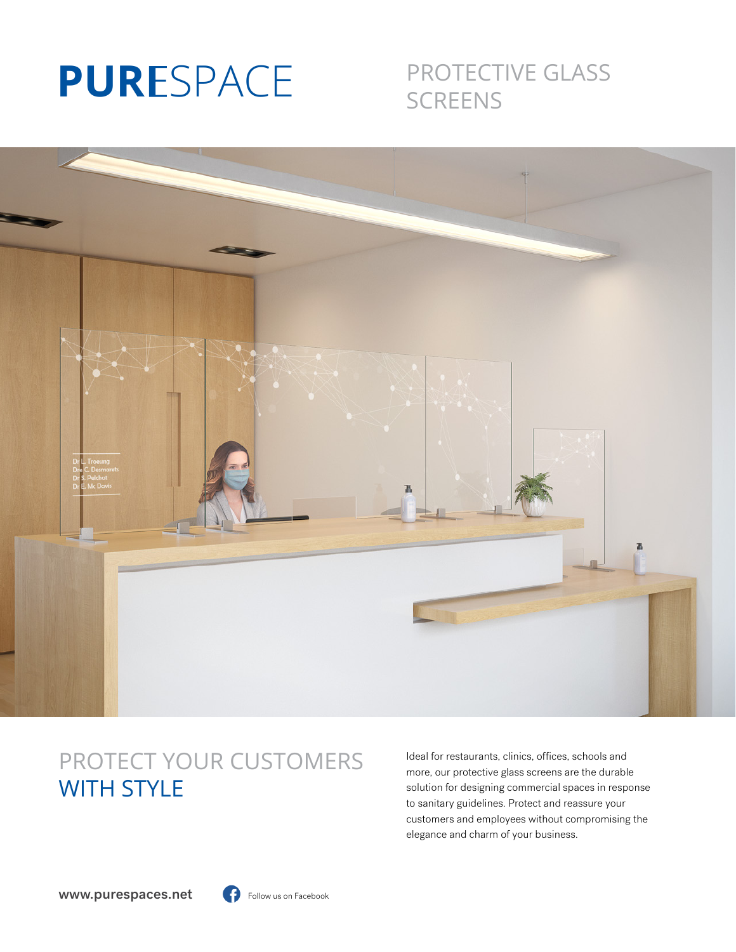

# PROTECTIVE GLASS **SCREENS**



# PROTECT YOUR CUSTOMERS WITH STYLE

Ideal for restaurants, clinics, offices, schools and more, our protective glass screens are the durable solution for designing commercial spaces in response to sanitary guidelines. Protect and reassure your customers and employees without compromising the elegance and charm of your business.